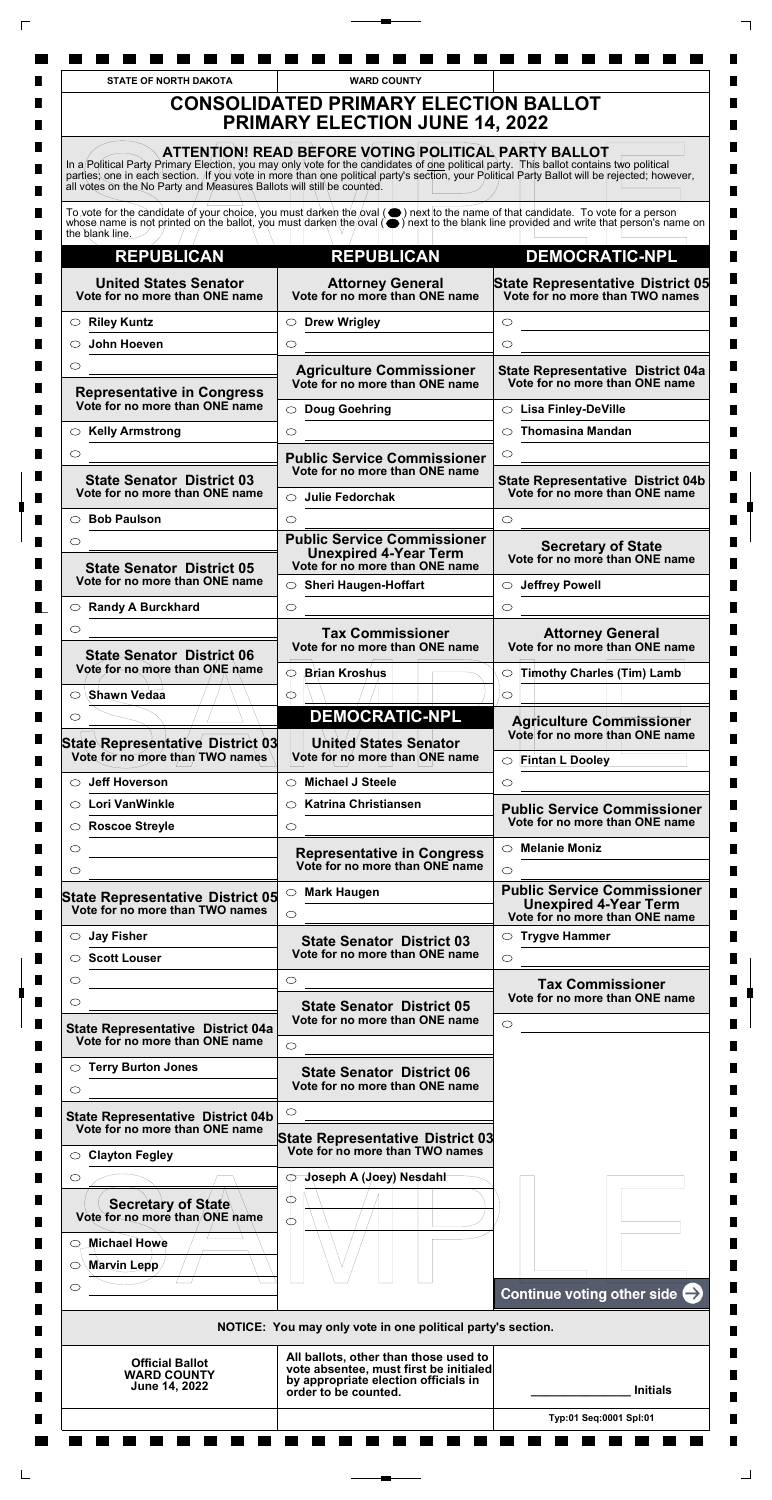| <b>CONSOLIDATED PRIMARY ELECTION BALLOT</b><br><b>PRIMARY ELECTION JUNE 14, 2022</b> |                                                                                                                                                                                                                                                                                                                                                 |                                                                                                                                               |  |
|--------------------------------------------------------------------------------------|-------------------------------------------------------------------------------------------------------------------------------------------------------------------------------------------------------------------------------------------------------------------------------------------------------------------------------------------------|-----------------------------------------------------------------------------------------------------------------------------------------------|--|
| all votes on the No Party and Measures Ballots will still be counted.                | ATTENTION! READ BEFORE VOTING POLITICAL PARTY BALLOT<br>In a/Political Party Primary Election, you may only vote for the candidates of one political party. This ballot contains two political<br>parties, one in each section. /If you vote in more than one political party's section, your Political Party Ballot will be rejected; however, |                                                                                                                                               |  |
| the blank line.                                                                      | To vote for the candidate of your choice, you must darken the oval ( $\bullet$ ) next to the name of that candidate. To vote for a person                                                                                                                                                                                                       | whose name is not printed on the ballot, you must darken the oval $(\bullet)$ next to the blank line provided and write that person's name on |  |
| <b>REPUBLICAN</b>                                                                    | <b>REPUBLICAN</b>                                                                                                                                                                                                                                                                                                                               | <b>DEMOCRATIC-NPL</b>                                                                                                                         |  |
| <b>United States Senator</b><br>Vote for no more than ONE name                       | <b>Attorney General</b><br>Vote for no more than ONE name                                                                                                                                                                                                                                                                                       | <b>State Representative District 05</b><br>Vote for no more than TWO names                                                                    |  |
| $\circ$ Riley Kuntz                                                                  | $\circ$ Drew Wrigley                                                                                                                                                                                                                                                                                                                            | $\circ$                                                                                                                                       |  |
| John Hoeven<br>O                                                                     | $\circ$                                                                                                                                                                                                                                                                                                                                         | $\circ$                                                                                                                                       |  |
| O                                                                                    | <b>Agriculture Commissioner</b><br>Vote for no more than ONE name                                                                                                                                                                                                                                                                               | <b>State Representative District 04a</b><br>Vote for no more than ONE name                                                                    |  |
| Representative in Congress<br>Vote for no more than ONE name                         | ○ Doug Goehring                                                                                                                                                                                                                                                                                                                                 | $\circlearrowright$ Lisa Finley-DeVille                                                                                                       |  |
| $\circ$ Kelly Armstrong                                                              | ◯                                                                                                                                                                                                                                                                                                                                               | <b>Thomasina Mandan</b><br>◯                                                                                                                  |  |
| ◯                                                                                    |                                                                                                                                                                                                                                                                                                                                                 | ◯                                                                                                                                             |  |
|                                                                                      | <b>Public Service Commissioner</b><br>Vote for no more than ONE name                                                                                                                                                                                                                                                                            |                                                                                                                                               |  |
| <b>State Senator District 03</b><br>Vote for no more than ONE name                   | $\circlearrowright$ Julie Fedorchak                                                                                                                                                                                                                                                                                                             | <b>State Representative District 04b</b><br>Vote for no more than ONE name                                                                    |  |
| $\circ$ Bob Paulson                                                                  | $\bigcirc$                                                                                                                                                                                                                                                                                                                                      | $\bigcirc$                                                                                                                                    |  |
| $\circlearrowright$                                                                  | <b>Public Service Commissioner</b>                                                                                                                                                                                                                                                                                                              | <b>Secretary of State</b>                                                                                                                     |  |
| <b>State Senator District 05</b>                                                     | <b>Unexpired 4-Year Term</b><br>Vote for no more than ONE name                                                                                                                                                                                                                                                                                  | Vote for no more than ONE name                                                                                                                |  |
| Vote for no more than ONE name                                                       | <b>Sheri Haugen-Hoffart</b><br>$\circ$                                                                                                                                                                                                                                                                                                          | <b>Jeffrey Powell</b>                                                                                                                         |  |
| $\circ$ Randy A Burckhard                                                            | $\circ$                                                                                                                                                                                                                                                                                                                                         | $\circ$                                                                                                                                       |  |
| $\circ$                                                                              | <b>Tax Commissioner</b>                                                                                                                                                                                                                                                                                                                         | <b>Attorney General</b><br>Vote for no more than ONE name                                                                                     |  |
| <b>State Senator District 06</b>                                                     | Vote for no more than ONE name                                                                                                                                                                                                                                                                                                                  |                                                                                                                                               |  |
| Vote for no more than ONE name                                                       | <b>Brian Kroshus</b><br>$\circledcirc$                                                                                                                                                                                                                                                                                                          | $\circlearrowright$ Timothy Charles (Tim) Lamb                                                                                                |  |
| Shawn Vedaa<br>$\circ$                                                               | Œ                                                                                                                                                                                                                                                                                                                                               | $\circlearrowright$                                                                                                                           |  |
| $\circ$                                                                              | <b>DEMOCRATIC-NPL</b>                                                                                                                                                                                                                                                                                                                           | <b>Agriculture Commissioner</b>                                                                                                               |  |
| <b>State Representative District 03</b><br>Vote for no more than TWO names           | <b>United States Senator</b><br>Vote for no more than ONE name                                                                                                                                                                                                                                                                                  | Vote for no more than ONE name                                                                                                                |  |
|                                                                                      |                                                                                                                                                                                                                                                                                                                                                 | $\circ$ Fintan L Dooley                                                                                                                       |  |
| <b>Jeff Hoverson</b><br>$\circ$                                                      | <b>Michael J Steele</b><br>$\bigcirc$                                                                                                                                                                                                                                                                                                           | $\circ$                                                                                                                                       |  |
| <b>Lori VanWinkle</b><br>O                                                           | <b>Katrina Christiansen</b><br>$\circ$                                                                                                                                                                                                                                                                                                          | <b>Public Service Commissioner</b><br>Vote for no more than ONE name                                                                          |  |
| <b>Roscoe Streyle</b><br>$\circ$<br>$\circlearrowright$                              | $\circ$                                                                                                                                                                                                                                                                                                                                         | $\circ$ Melanie Moniz                                                                                                                         |  |
| $\circ$                                                                              | <b>Representative in Congress</b><br>Vote for no more than ONE name                                                                                                                                                                                                                                                                             | $\bigcirc$                                                                                                                                    |  |
|                                                                                      | <b>Mark Haugen</b><br>$\circ$                                                                                                                                                                                                                                                                                                                   | <b>Public Service Commissioner</b>                                                                                                            |  |
| <b>State Representative District 05</b><br>Vote for no more than TWO names           | ◯                                                                                                                                                                                                                                                                                                                                               | <b>Unexpired 4-Year Term</b><br>Vote for no more than ONE name                                                                                |  |
| $\circlearrowright$ Jay Fisher                                                       | <b>State Senator District 03</b>                                                                                                                                                                                                                                                                                                                | $\circ$ Trygve Hammer                                                                                                                         |  |
| ○ Scott Louser                                                                       | Vote for no more than ONE name                                                                                                                                                                                                                                                                                                                  | $\circ$                                                                                                                                       |  |
| $\circ$                                                                              | $\circ$                                                                                                                                                                                                                                                                                                                                         | <b>Tax Commissioner</b>                                                                                                                       |  |
| O                                                                                    | <b>State Senator District 05</b>                                                                                                                                                                                                                                                                                                                | Vote for no more than ONE name                                                                                                                |  |
| State Representative District 04a<br>Vote for no more than ONE name                  | Vote for no more than ONE name<br>⌒                                                                                                                                                                                                                                                                                                             | $\circ$                                                                                                                                       |  |
|                                                                                      |                                                                                                                                                                                                                                                                                                                                                 |                                                                                                                                               |  |

┑

Ш

П

П

П

Ш

П ∎

П

 $\blacksquare$ 

 $\blacksquare$  $\blacksquare$ 

∎

П

∎ П

П

 $\sqcup$ 

 $\Gamma$ 

 $\mathsf{L}% _{\mathbb{Z}}\left( \mathbb{Z}^{\Sigma\left( 1\right) }\right)$ 



 $\blacksquare$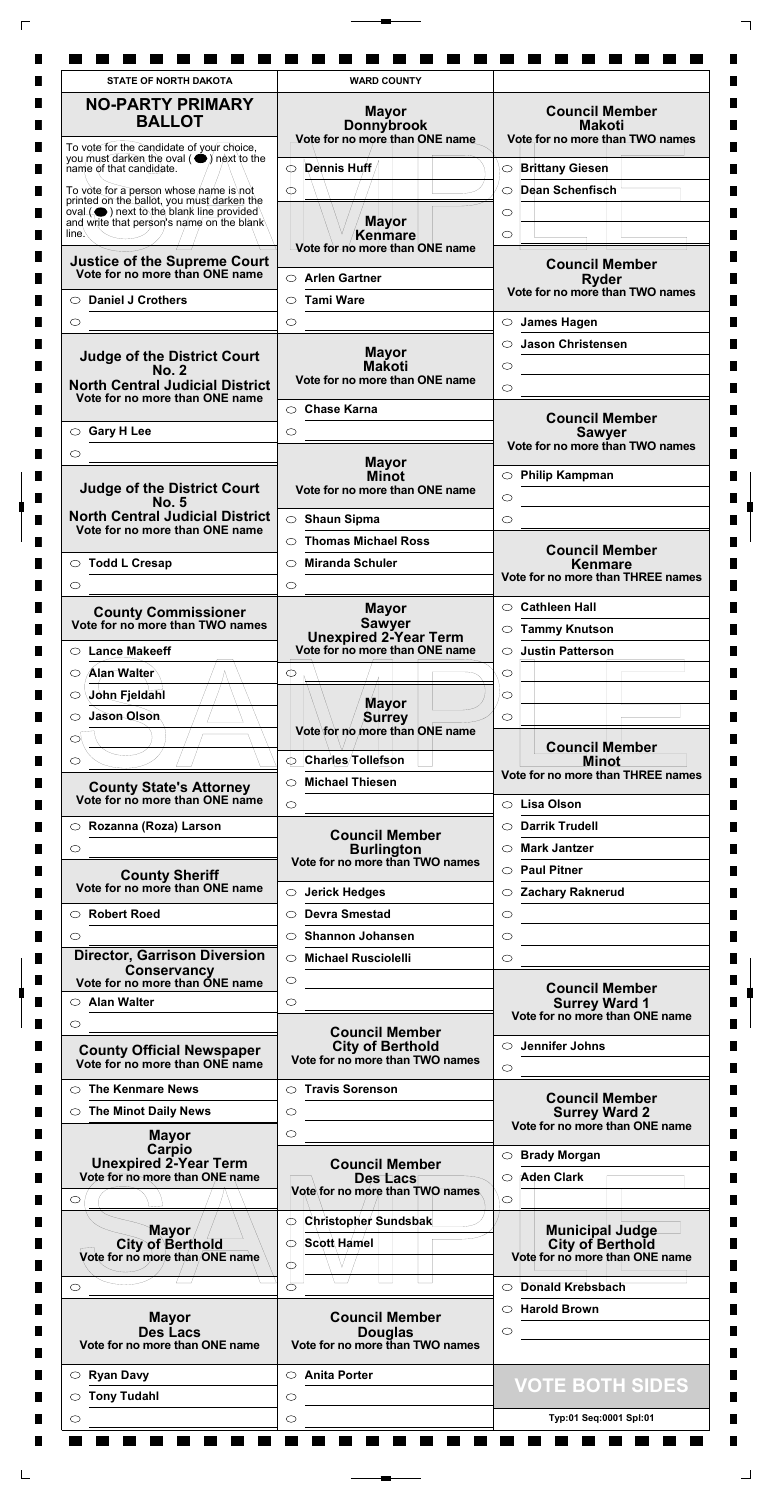| <b>NO-PARTY PRIMARY</b>                                                                   |                                                                                                                                                                                                                                                         |                                                  |
|-------------------------------------------------------------------------------------------|---------------------------------------------------------------------------------------------------------------------------------------------------------------------------------------------------------------------------------------------------------|--------------------------------------------------|
| <b>BALLOT</b>                                                                             | <b>Mayor</b><br>Donny brook<br>Vote for no more than ONE name                                                                                                                                                                                           | <b>Council Member</b><br><b>Makoti</b>           |
| To vote for the candidate of your choice,                                                 |                                                                                                                                                                                                                                                         | Vote for no more than TWO names                  |
| you must darken the oval $\left(\bigbullet\right)$ next to the<br>name of that candidate. | Dennis Huff<br>$\circledcirc$                                                                                                                                                                                                                           | <b>Brittany Giesen</b><br>$\circ$                |
| To vote for a person whose hame is not<br>printed on the ballot, you must darken the      | ∩                                                                                                                                                                                                                                                       | Dean Schenfisch<br>$\bigcirc$                    |
| oval (●) next to the blank line provided<br>and write that person's name on the blank     | <b>Mayor</b>                                                                                                                                                                                                                                            | $\circlearrowright$                              |
| line.∖                                                                                    | <b>Kenmare</b>                                                                                                                                                                                                                                          | $\circlearrowright$                              |
| <b>Justice of the Supreme Court</b>                                                       | $\mathsf{\color{red}\mathsf{\color{black}\mathsf{\color{black}\mathsf{\color{black}\mathsf{\color{black}\mathsf{\color{black}\mathsf{\color{black}\mathsf{\color{black}\mathsf{\color{black}\mathsf{\color{black}}}}}}}$ Vote for no more than ONE name | <b>Council Member</b>                            |
| Vote for no more than ONE name                                                            | $\circlearrowright$ Arlen Gartner                                                                                                                                                                                                                       | <b>Ryder</b><br>Vote for no more than TWO names  |
| ○ Daniel J Crothers                                                                       | <b>Tami Ware</b><br>$\circ$                                                                                                                                                                                                                             |                                                  |
| $\circ$                                                                                   | $\circ$                                                                                                                                                                                                                                                 | $\circ$ James Hagen                              |
| <b>Judge of the District Court</b>                                                        | <b>Mayor</b>                                                                                                                                                                                                                                            | <b>Jason Christensen</b><br>◯                    |
| <b>No. 2</b>                                                                              | <b>Makoti</b><br>Vote for no more than ONE name                                                                                                                                                                                                         | $\circ$                                          |
| <b>North Central Judicial District</b><br>Vote for no more than ONE name                  |                                                                                                                                                                                                                                                         | ◯                                                |
|                                                                                           | $\circ$ Chase Karna                                                                                                                                                                                                                                     | <b>Council Member</b>                            |
| $\circ$ Gary H Lee                                                                        | $\circ$                                                                                                                                                                                                                                                 | <b>Sawyer</b><br>Vote for no more than TWO names |
| $\circ$                                                                                   | <b>Mayor</b>                                                                                                                                                                                                                                            |                                                  |
| <b>Judge of the District Court</b>                                                        | <b>Minot</b><br>Vote for no more than ONE name                                                                                                                                                                                                          | <b>Philip Kampman</b><br>$\circ$                 |
| <b>No. 5</b><br><b>North Central Judicial District</b>                                    | $\circ$ Shaun Sipma                                                                                                                                                                                                                                     | $\circ$<br>$\circ$                               |
| Vote for no more than ONE name                                                            | $\circ$ Thomas Michael Ross                                                                                                                                                                                                                             |                                                  |
| $\circ$ Todd L Cresap                                                                     | <b>Miranda Schuler</b><br>◯                                                                                                                                                                                                                             | <b>Council Member</b><br><b>Kenmare</b>          |
| ◯                                                                                         | ◯                                                                                                                                                                                                                                                       | Vote for no more than THREE names                |
| <b>County Commissioner</b>                                                                | <b>Mayor</b>                                                                                                                                                                                                                                            | $\circ$ Cathleen Hall                            |
| Vote for no more than TWO names                                                           | <b>Sawyer</b><br><b>Unexpired 2-Year Term</b>                                                                                                                                                                                                           | <b>Tammy Knutson</b><br>$\circlearrowright$      |
| ○ Lance Makeeff                                                                           | Vote for no more than ONE name                                                                                                                                                                                                                          | <b>Justin Patterson</b><br>◯                     |
| Alan Walter<br>$\circ$                                                                    |                                                                                                                                                                                                                                                         | O                                                |
| John Fjeldahl<br>$\bigcirc$                                                               | <b>Mayor</b>                                                                                                                                                                                                                                            | O                                                |
| Jason Olson<br>◯                                                                          | Surrey                                                                                                                                                                                                                                                  | ◯                                                |
| O                                                                                         | Vote for no more than ONE name                                                                                                                                                                                                                          | <b>Council Member</b>                            |
| $\circ$                                                                                   | Charles/Tollefson<br>$\circlearrowright$                                                                                                                                                                                                                | Minot<br>Vote for no more than THREE names       |
| <b>County State's Attorney</b>                                                            | <b>Michael Thiesen</b>                                                                                                                                                                                                                                  |                                                  |
| Vote for no more than ONE name                                                            | $\circ$                                                                                                                                                                                                                                                 | ○ Lisa Olson                                     |
| $\circ$ Rozanna (Roza) Larson                                                             | <b>Council Member</b>                                                                                                                                                                                                                                   | <b>Darrik Trudell</b>                            |
| $\circ$                                                                                   | <b>Burlington</b><br>Vote for no more than TWO names                                                                                                                                                                                                    | <b>Mark Jantzer</b>                              |
| <b>County Sheriff</b><br>Vote for no more than ONE name                                   |                                                                                                                                                                                                                                                         | <b>Paul Pitner</b><br>⌒                          |
| ○ Robert Roed                                                                             | <b>Jerick Hedges</b><br>$\circ$<br><b>Devra Smestad</b><br>$\bigcirc$                                                                                                                                                                                   | <b>Zachary Raknerud</b><br>◯                     |
| $\circlearrowright$                                                                       | <b>Shannon Johansen</b><br>◯                                                                                                                                                                                                                            | $\circlearrowright$<br>$\circ$                   |
| <b>Director, Garrison Diversion</b>                                                       | <b>Michael Rusciolelli</b><br>$\circ$                                                                                                                                                                                                                   | $\circ$                                          |
| <b>Conservancy</b>                                                                        | $\circ$                                                                                                                                                                                                                                                 |                                                  |
| Vote for no more than ONE name<br>$\circ$ Alan Walter                                     | $\circ$                                                                                                                                                                                                                                                 | <b>Council Member</b><br><b>Surrey Ward 1</b>    |
|                                                                                           |                                                                                                                                                                                                                                                         | Vote for no more than ONE name                   |

٦

 $\sqcup$ 

 $\overline{\Gamma}$ 

 $\sqcup$ 



 $\blacksquare$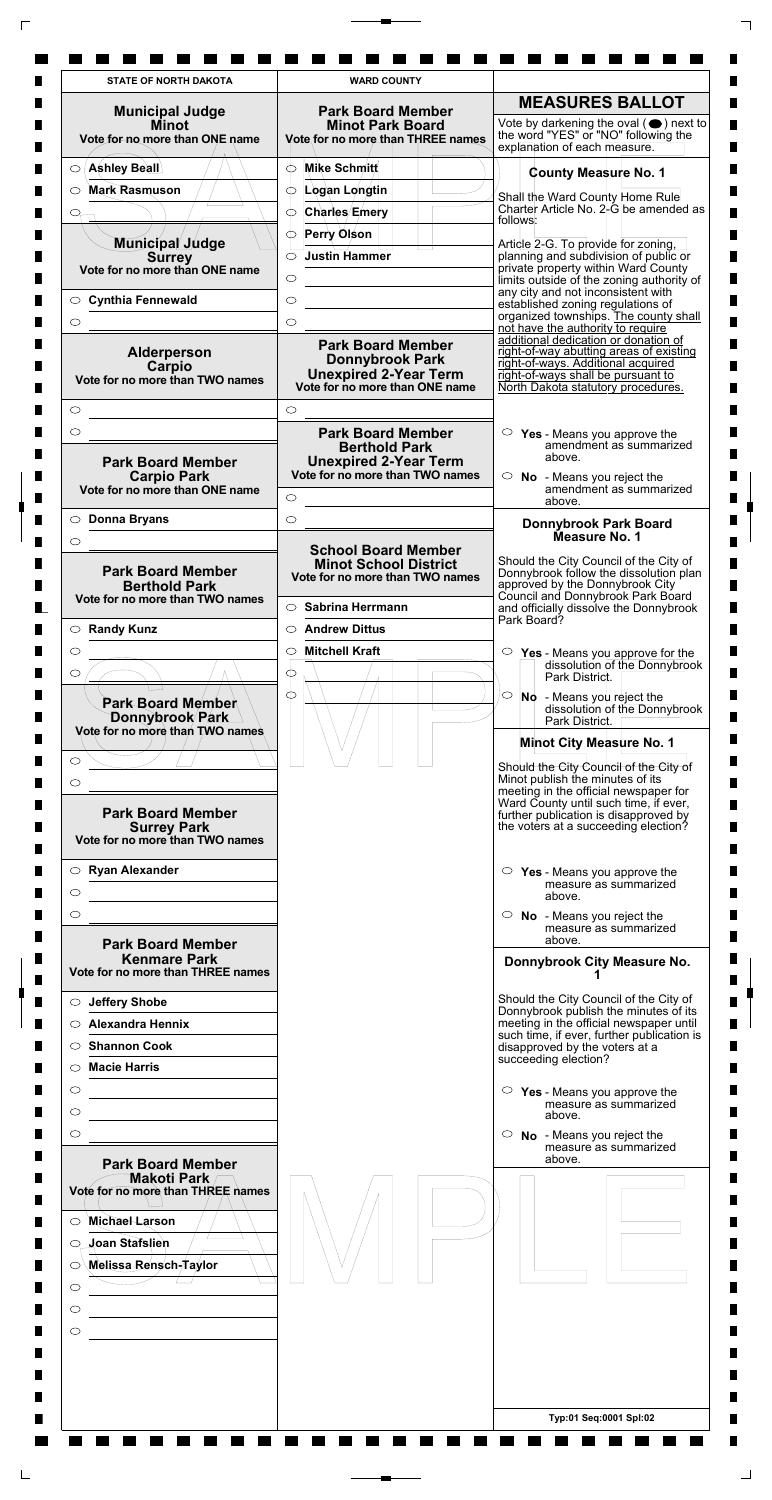